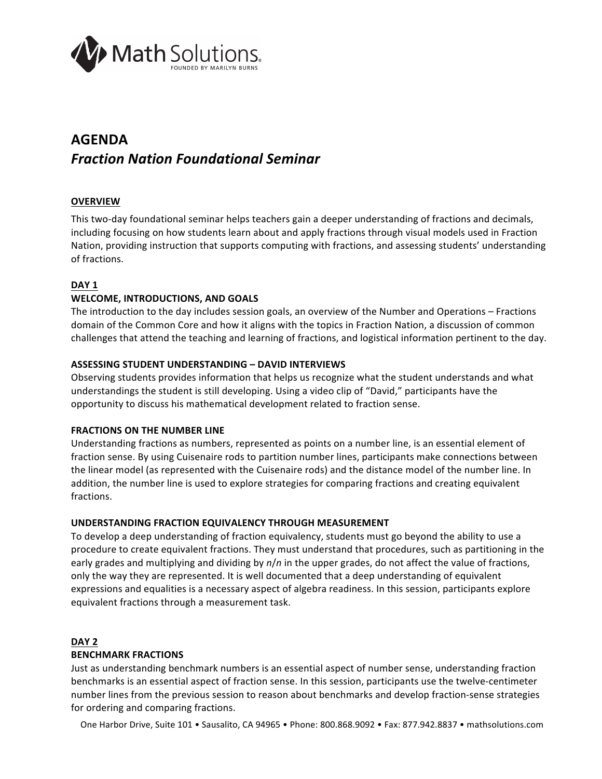

# **AGENDA** *Fraction Nation Foundational Seminar*

## **OVERVIEW**

This two-day foundational seminar helps teachers gain a deeper understanding of fractions and decimals, including focusing on how students learn about and apply fractions through visual models used in Fraction Nation, providing instruction that supports computing with fractions, and assessing students' understanding of fractions.

## **DAY 1**

## **WELCOME, INTRODUCTIONS, AND GOALS**

The introduction to the day includes session goals, an overview of the Number and Operations – Fractions domain of the Common Core and how it aligns with the topics in Fraction Nation, a discussion of common challenges that attend the teaching and learning of fractions, and logistical information pertinent to the day.

## **ASSESSING STUDENT UNDERSTANDING - DAVID INTERVIEWS**

Observing students provides information that helps us recognize what the student understands and what understandings the student is still developing. Using a video clip of "David," participants have the opportunity to discuss his mathematical development related to fraction sense.

#### **FRACTIONS ON THE NUMBER LINE**

Understanding fractions as numbers, represented as points on a number line, is an essential element of fraction sense. By using Cuisenaire rods to partition number lines, participants make connections between the linear model (as represented with the Cuisenaire rods) and the distance model of the number line. In addition, the number line is used to explore strategies for comparing fractions and creating equivalent fractions.

#### UNDERSTANDING FRACTION EQUIVALENCY THROUGH MEASUREMENT

To develop a deep understanding of fraction equivalency, students must go beyond the ability to use a procedure to create equivalent fractions. They must understand that procedures, such as partitioning in the early grades and multiplying and dividing by  $n/n$  in the upper grades, do not affect the value of fractions, only the way they are represented. It is well documented that a deep understanding of equivalent expressions and equalities is a necessary aspect of algebra readiness. In this session, participants explore equivalent fractions through a measurement task.

## **DAY 2**

## **BENCHMARK FRACTIONS**

Just as understanding benchmark numbers is an essential aspect of number sense, understanding fraction benchmarks is an essential aspect of fraction sense. In this session, participants use the twelve-centimeter number lines from the previous session to reason about benchmarks and develop fraction-sense strategies for ordering and comparing fractions.

One Harbor Drive, Suite 101 • Sausalito, CA 94965 • Phone: 800.868.9092 • Fax: 877.942.8837 • mathsolutions.com